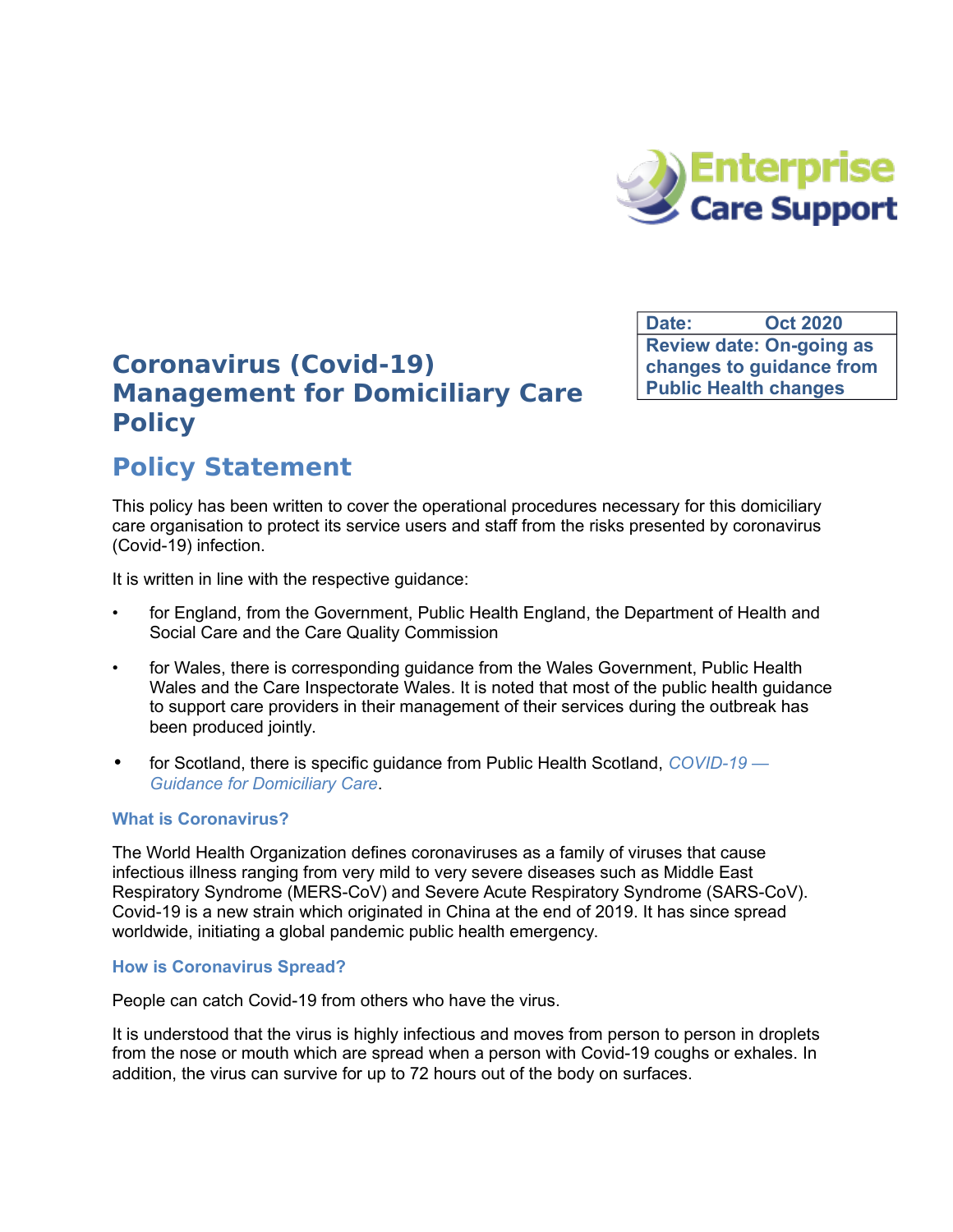

**Date: Oct 2020 Review date: On-going as changes to guidance from Public Health changes**

## **Coronavirus (Covid-19) Management for Domiciliary Care Policy**

# **Policy Statement**

This policy has been written to cover the operational procedures necessary for this domiciliary care organisation to protect its service users and staff from the risks presented by coronavirus (Covid-19) infection.

It is written in line with the respective guidance:

- for England, from the Government, Public Health England, the Department of Health and Social Care and the Care Quality Commission
- for Wales, there is corresponding guidance from the Wales Government, Public Health Wales and the Care Inspectorate Wales. It is noted that most of the public health guidance to support care providers in their management of their services during the outbreak has been produced jointly.
- for Scotland, there is specific guidance from Public Health Scotland, *[COVID-19](https://www.hps.scot.nhs.uk/web-resources-container/covid-19-guidance-for-domiciliary-care/)  [Guidance for Domiciliary Care](https://www.hps.scot.nhs.uk/web-resources-container/covid-19-guidance-for-domiciliary-care/)*.

## **What is Coronavirus?**

The World Health Organization defines coronaviruses as a family of viruses that cause infectious illness ranging from very mild to very severe diseases such as Middle East Respiratory Syndrome (MERS-CoV) and Severe Acute Respiratory Syndrome (SARS-CoV). Covid-19 is a new strain which originated in China at the end of 2019. It has since spread worldwide, initiating a global pandemic public health emergency.

## **How is Coronavirus Spread?**

People can catch Covid-19 from others who have the virus.

It is understood that the virus is highly infectious and moves from person to person in droplets from the nose or mouth which are spread when a person with Covid-19 coughs or exhales. In addition, the virus can survive for up to 72 hours out of the body on surfaces.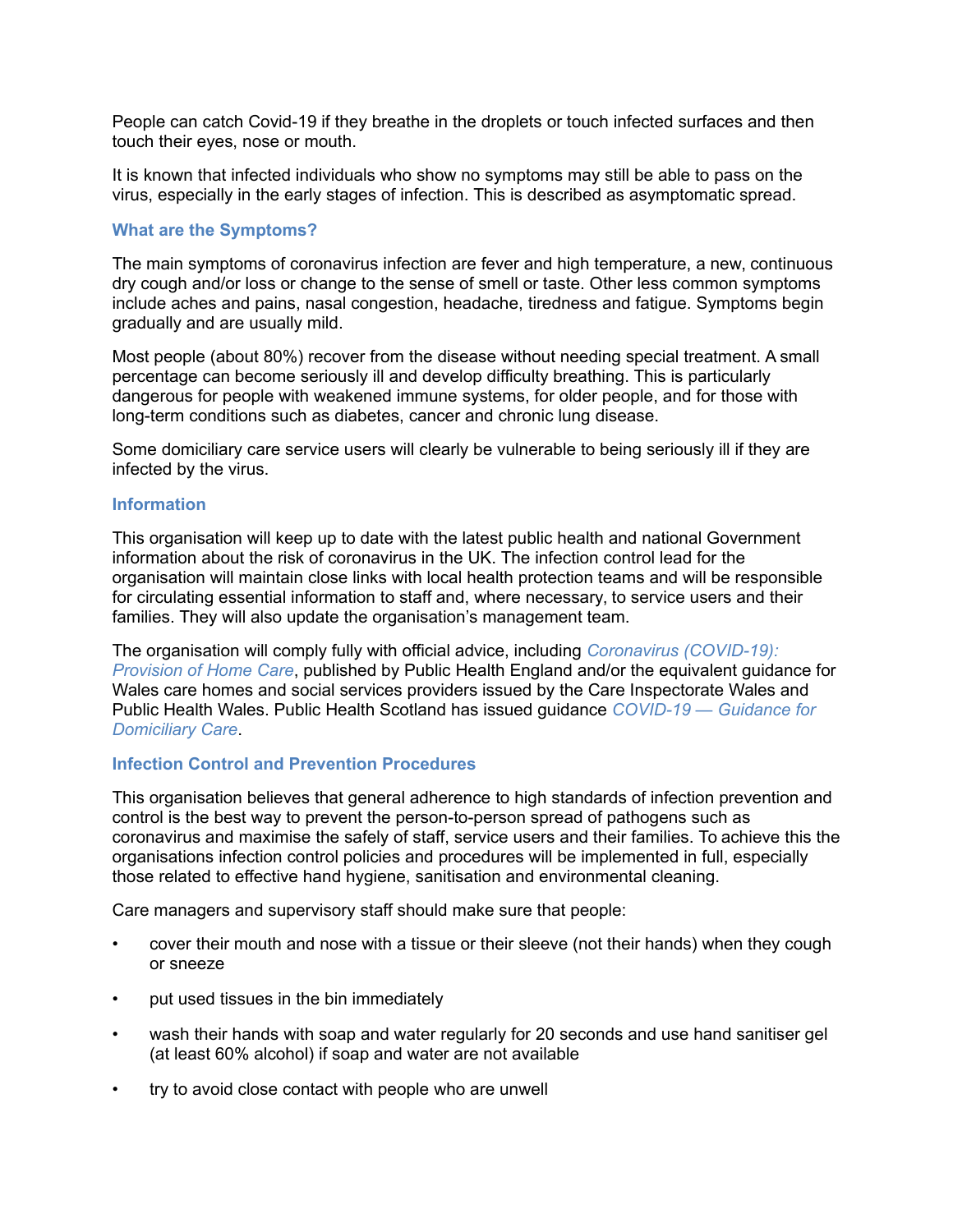People can catch Covid-19 if they breathe in the droplets or touch infected surfaces and then touch their eyes, nose or mouth.

It is known that infected individuals who show no symptoms may still be able to pass on the virus, especially in the early stages of infection. This is described as asymptomatic spread.

#### **What are the Symptoms?**

The main symptoms of coronavirus infection are fever and high temperature, a new, continuous dry cough and/or loss or change to the sense of smell or taste. Other less common symptoms include aches and pains, nasal congestion, headache, tiredness and fatigue. Symptoms begin gradually and are usually mild.

Most people (about 80%) recover from the disease without needing special treatment. A small percentage can become seriously ill and develop difficulty breathing. This is particularly dangerous for people with weakened immune systems, for older people, and for those with long-term conditions such as diabetes, cancer and chronic lung disease.

Some domiciliary care service users will clearly be vulnerable to being seriously ill if they are infected by the virus.

#### **Information**

This organisation will keep up to date with the latest public health and national Government information about the risk of coronavirus in the UK. The infection control lead for the organisation will maintain close links with local health protection teams and will be responsible for circulating essential information to staff and, where necessary, to service users and their families. They will also update the organisation's management team.

The organisation will comply fully with official advice, including *[Coronavirus \(COVID-19\):](https://www.gov.uk/government/publications/coronavirus-covid-19-providing-home-care/coronavirus-covid-19-provision-of-home-care)  [Provision of Home Care](https://www.gov.uk/government/publications/coronavirus-covid-19-providing-home-care/coronavirus-covid-19-provision-of-home-care)*, published by Public Health England and/or the equivalent guidance for Wales care homes and social services providers issued by the Care Inspectorate Wales and Public Health Wales. Public Health Scotland has issued guidance *[COVID-19 — Guidance for](https://www.hps.scot.nhs.uk/web-resources-container/covid-19-guidance-for-domiciliary-care/)  [Domiciliary Care](https://www.hps.scot.nhs.uk/web-resources-container/covid-19-guidance-for-domiciliary-care/)*.

## **Infection Control and Prevention Procedures**

This organisation believes that general adherence to high standards of infection prevention and control is the best way to prevent the person-to-person spread of pathogens such as coronavirus and maximise the safely of staff, service users and their families. To achieve this the organisations infection control policies and procedures will be implemented in full, especially those related to effective hand hygiene, sanitisation and environmental cleaning.

Care managers and supervisory staff should make sure that people:

- cover their mouth and nose with a tissue or their sleeve (not their hands) when they cough or sneeze
- put used tissues in the bin immediately
- wash their hands with soap and water regularly for 20 seconds and use hand sanitiser gel (at least 60% alcohol) if soap and water are not available
- try to avoid close contact with people who are unwell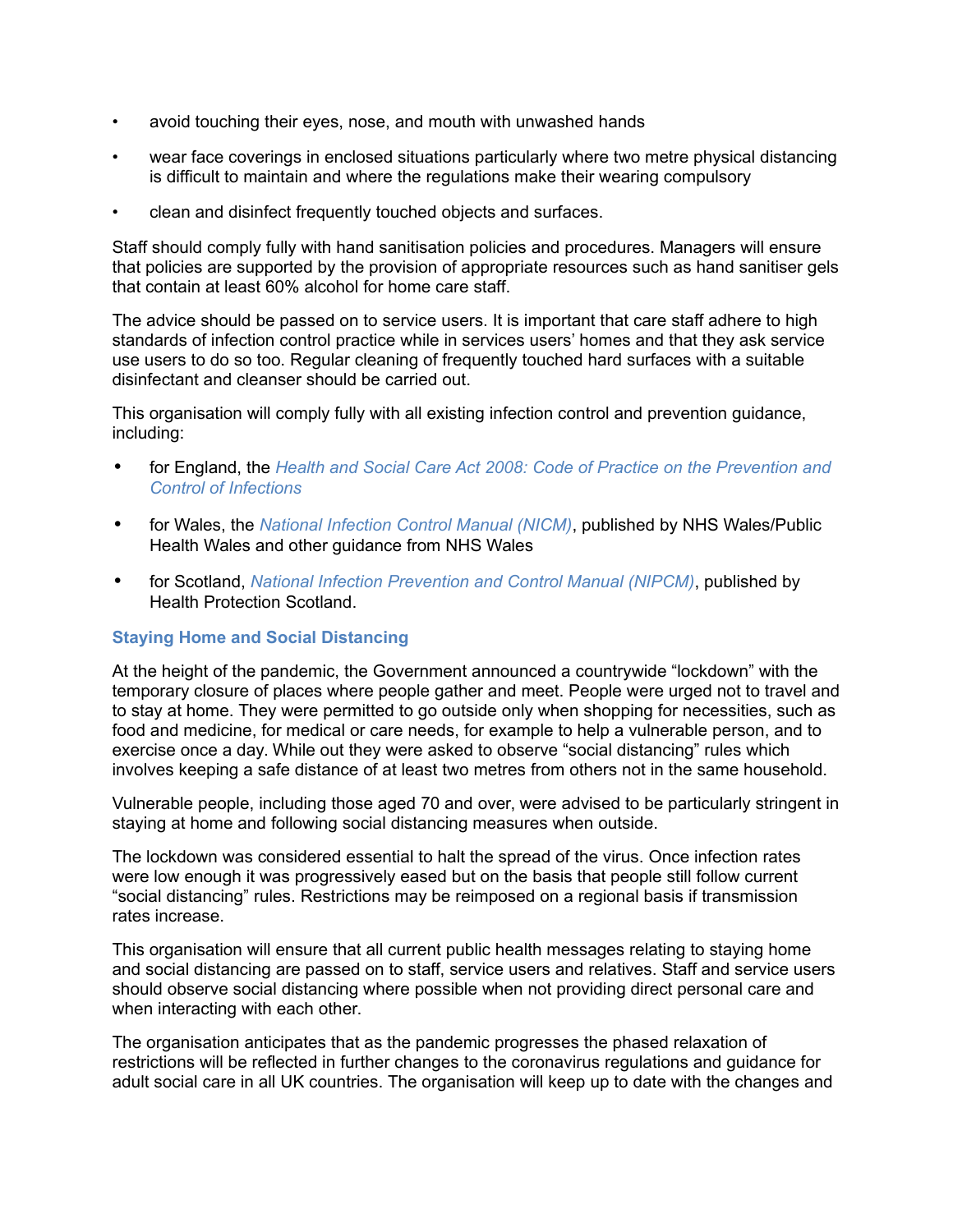- avoid touching their eyes, nose, and mouth with unwashed hands
- wear face coverings in enclosed situations particularly where two metre physical distancing is difficult to maintain and where the regulations make their wearing compulsory
- clean and disinfect frequently touched objects and surfaces.

Staff should comply fully with hand sanitisation policies and procedures. Managers will ensure that policies are supported by the provision of appropriate resources such as hand sanitiser gels that contain at least 60% alcohol for home care staff.

The advice should be passed on to service users. It is important that care staff adhere to high standards of infection control practice while in services users' homes and that they ask service use users to do so too. Regular cleaning of frequently touched hard surfaces with a suitable disinfectant and cleanser should be carried out.

This organisation will comply fully with all existing infection control and prevention guidance, including:

- for England, the *[Health and Social Care Act 2008: Code of Practice on the Prevention and](https://www.gov.uk/government/publications/the-health-and-social-care-act-2008-code-of-practice-on-the-prevention-and-control-of-infections-and-related-guidance)  [Control of Infections](https://www.gov.uk/government/publications/the-health-and-social-care-act-2008-code-of-practice-on-the-prevention-and-control-of-infections-and-related-guidance)*
- for Wales, the *[National Infection Control Manual \(NICM\)](https://phw.nhs.wales/services-and-teams/harp/infection-prevention-and-control/nipcm/)*, published by NHS Wales/Public Health Wales and other guidance from NHS Wales
- for Scotland, *[National Infection Prevention and Control Manual \(NIPCM\)](http://www.nipcm.scot.nhs.uk/)*, published by Health Protection Scotland.

## **Staying Home and Social Distancing**

At the height of the pandemic, the Government announced a countrywide "lockdown" with the temporary closure of places where people gather and meet. People were urged not to travel and to stay at home. They were permitted to go outside only when shopping for necessities, such as food and medicine, for medical or care needs, for example to help a vulnerable person, and to exercise once a day. While out they were asked to observe "social distancing" rules which involves keeping a safe distance of at least two metres from others not in the same household.

Vulnerable people, including those aged 70 and over, were advised to be particularly stringent in staying at home and following social distancing measures when outside.

The lockdown was considered essential to halt the spread of the virus. Once infection rates were low enough it was progressively eased but on the basis that people still follow current "social distancing" rules. Restrictions may be reimposed on a regional basis if transmission rates increase.

This organisation will ensure that all current public health messages relating to staying home and social distancing are passed on to staff, service users and relatives. Staff and service users should observe social distancing where possible when not providing direct personal care and when interacting with each other.

The organisation anticipates that as the pandemic progresses the phased relaxation of restrictions will be reflected in further changes to the coronavirus regulations and guidance for adult social care in all UK countries. The organisation will keep up to date with the changes and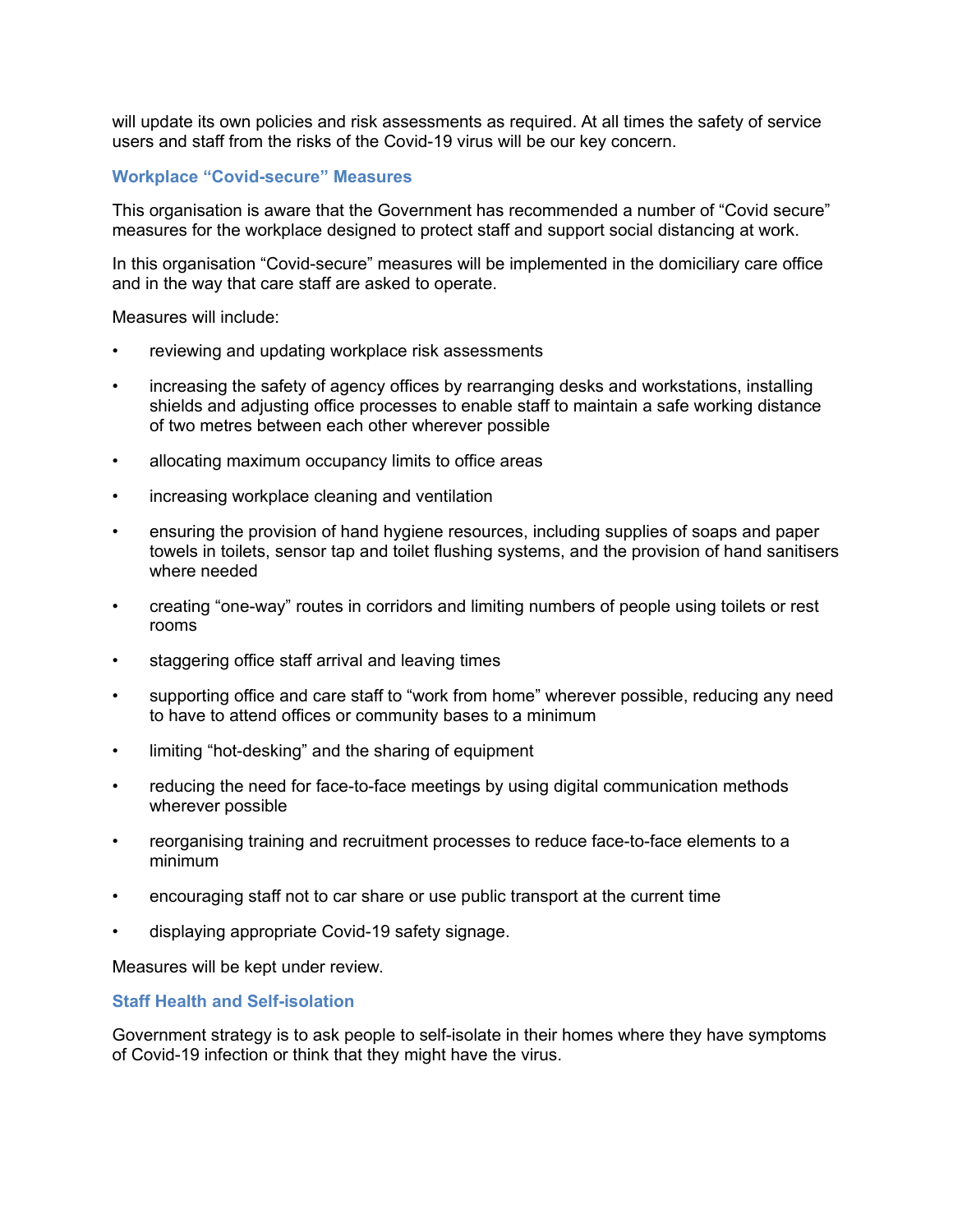will update its own policies and risk assessments as required. At all times the safety of service users and staff from the risks of the Covid-19 virus will be our key concern.

#### **Workplace "Covid-secure" Measures**

This organisation is aware that the Government has recommended a number of "Covid secure" measures for the workplace designed to protect staff and support social distancing at work.

In this organisation "Covid-secure" measures will be implemented in the domiciliary care office and in the way that care staff are asked to operate.

Measures will include:

- reviewing and updating workplace risk assessments
- increasing the safety of agency offices by rearranging desks and workstations, installing shields and adjusting office processes to enable staff to maintain a safe working distance of two metres between each other wherever possible
- allocating maximum occupancy limits to office areas
- increasing workplace cleaning and ventilation
- ensuring the provision of hand hygiene resources, including supplies of soaps and paper towels in toilets, sensor tap and toilet flushing systems, and the provision of hand sanitisers where needed
- creating "one-way" routes in corridors and limiting numbers of people using toilets or rest rooms
- staggering office staff arrival and leaving times
- supporting office and care staff to "work from home" wherever possible, reducing any need to have to attend offices or community bases to a minimum
- limiting "hot-desking" and the sharing of equipment
- reducing the need for face-to-face meetings by using digital communication methods wherever possible
- reorganising training and recruitment processes to reduce face-to-face elements to a minimum
- encouraging staff not to car share or use public transport at the current time
- displaying appropriate Covid-19 safety signage.

Measures will be kept under review.

## **Staff Health and Self-isolation**

Government strategy is to ask people to self-isolate in their homes where they have symptoms of Covid-19 infection or think that they might have the virus.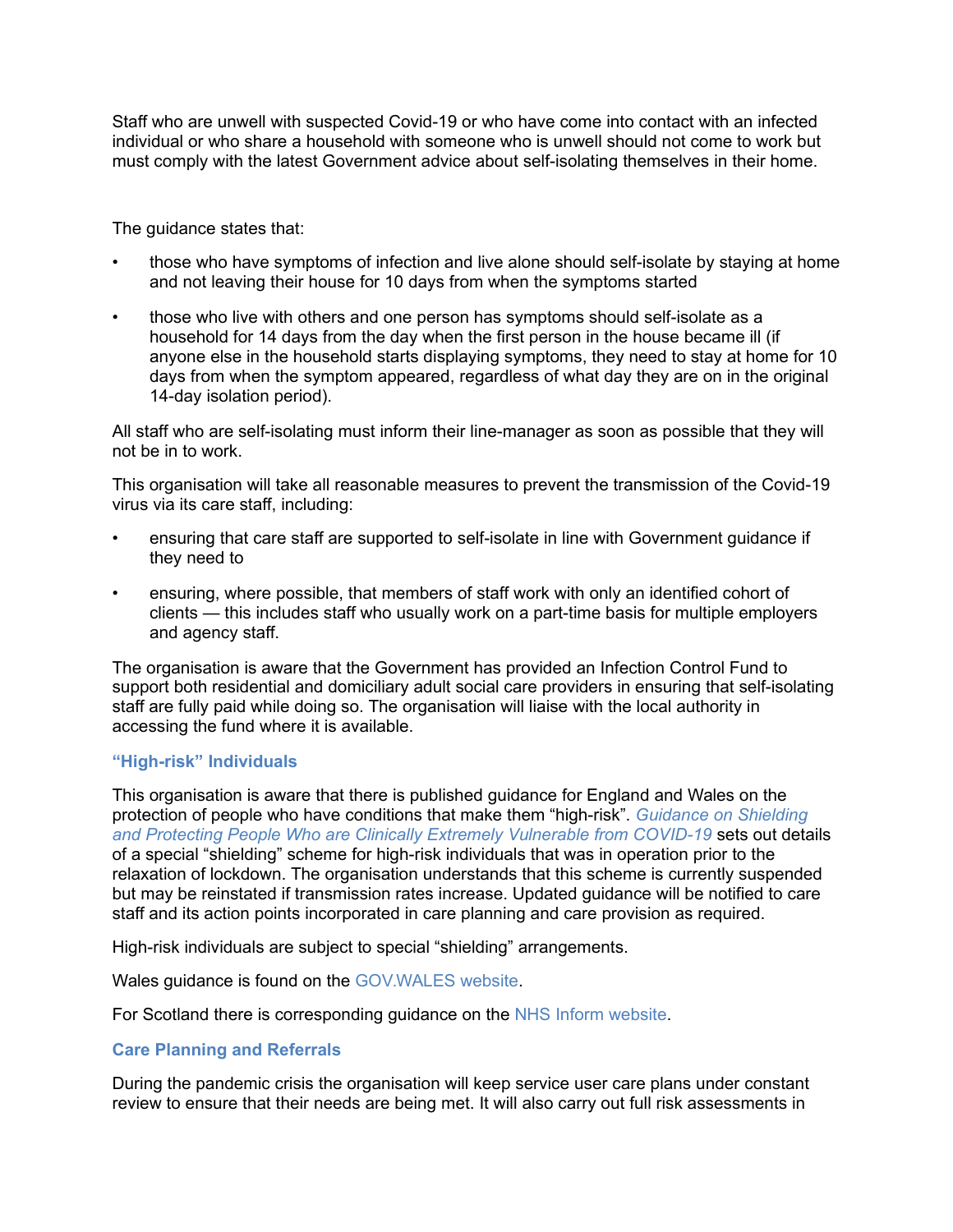Staff who are unwell with suspected Covid-19 or who have come into contact with an infected individual or who share a household with someone who is unwell should not come to work but must comply with the latest Government advice about self-isolating themselves in their home.

The guidance states that:

- those who have symptoms of infection and live alone should self-isolate by staying at home and not leaving their house for 10 days from when the symptoms started
- those who live with others and one person has symptoms should self-isolate as a household for 14 days from the day when the first person in the house became ill (if anyone else in the household starts displaying symptoms, they need to stay at home for 10 days from when the symptom appeared, regardless of what day they are on in the original 14-day isolation period).

All staff who are self-isolating must inform their line-manager as soon as possible that they will not be in to work.

This organisation will take all reasonable measures to prevent the transmission of the Covid-19 virus via its care staff, including:

- ensuring that care staff are supported to self-isolate in line with Government guidance if they need to
- ensuring, where possible, that members of staff work with only an identified cohort of clients — this includes staff who usually work on a part-time basis for multiple employers and agency staff.

The organisation is aware that the Government has provided an Infection Control Fund to support both residential and domiciliary adult social care providers in ensuring that self-isolating staff are fully paid while doing so. The organisation will liaise with the local authority in accessing the fund where it is available.

## **"High-risk" Individuals**

This organisation is aware that there is published guidance for England and Wales on the protection of people who have conditions that make them "high-risk". *[Guidance on Shielding](https://www.gov.uk/government/publications/guidance-on-shielding-and-protecting-extremely-vulnerable-persons-from-covid-19/guidance-on-shielding-and-protecting-extremely-vulnerable-persons-from-covid-19)  [and Protecting People Who are Clinically Extremely Vulnerable from COVID-19](https://www.gov.uk/government/publications/guidance-on-shielding-and-protecting-extremely-vulnerable-persons-from-covid-19/guidance-on-shielding-and-protecting-extremely-vulnerable-persons-from-covid-19)* sets out details of a special "shielding" scheme for high-risk individuals that was in operation prior to the relaxation of lockdown. The organisation understands that this scheme is currently suspended but may be reinstated if transmission rates increase. Updated guidance will be notified to care staff and its action points incorporated in care planning and care provision as required.

High-risk individuals are subject to special "shielding" arrangements.

Wales guidance is found on the [GOV.WALES website.](https://gov.wales/guidance-on-shielding-and-protecting-people-defined-on-medical-grounds-as-extremely-vulnerable-from-coronavirus-covid-19-html)

For Scotland there is corresponding guidance on the [NHS Inform website.](https://www.nhsinform.scot/illnesses-and-conditions/infections-and-poisoning/coronavirus-covid-19/coronavirus-covid-19-shielding)

#### **Care Planning and Referrals**

During the pandemic crisis the organisation will keep service user care plans under constant review to ensure that their needs are being met. It will also carry out full risk assessments in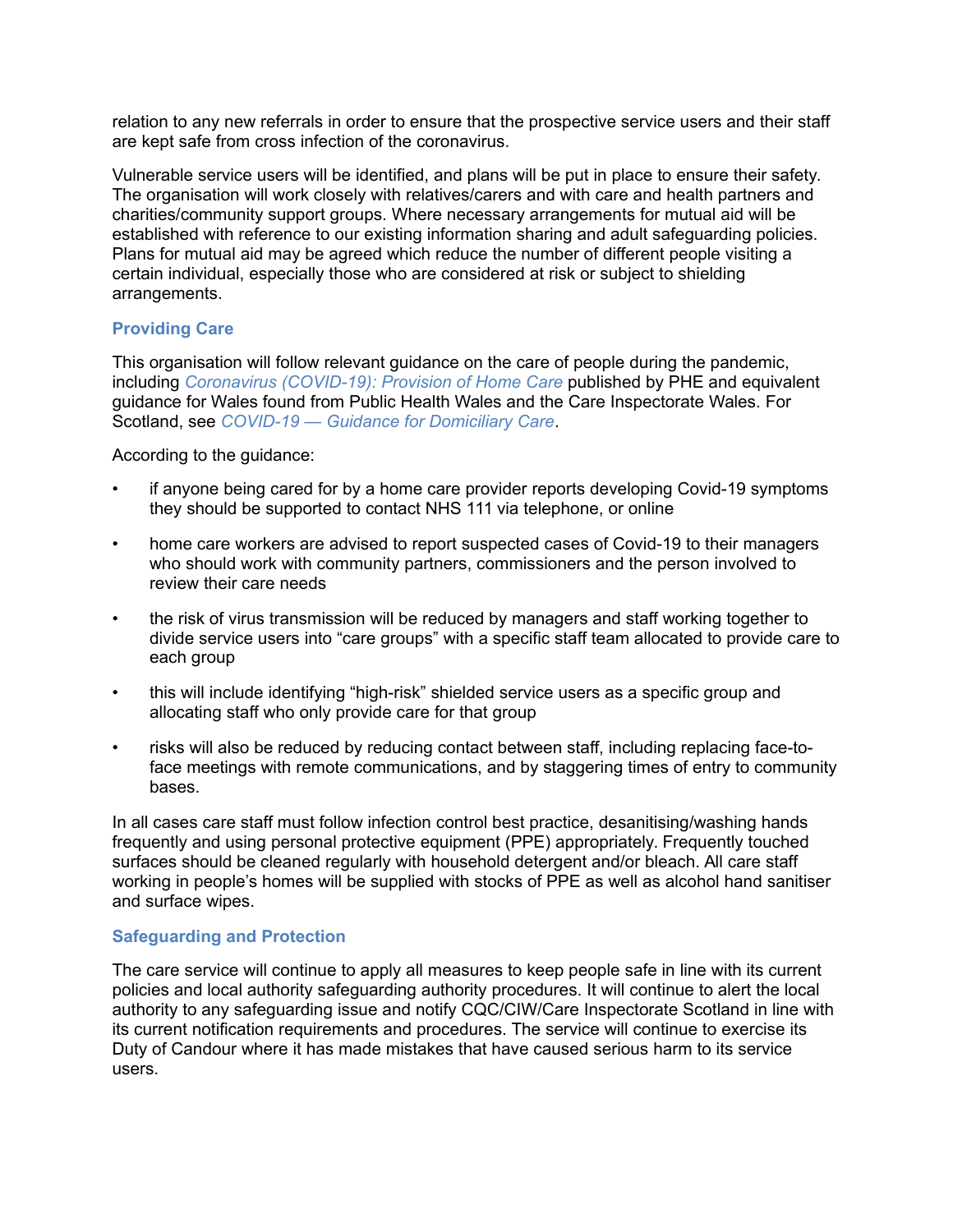relation to any new referrals in order to ensure that the prospective service users and their staff are kept safe from cross infection of the coronavirus.

Vulnerable service users will be identified, and plans will be put in place to ensure their safety. The organisation will work closely with relatives/carers and with care and health partners and charities/community support groups. Where necessary arrangements for mutual aid will be established with reference to our existing information sharing and adult safeguarding policies. Plans for mutual aid may be agreed which reduce the number of different people visiting a certain individual, especially those who are considered at risk or subject to shielding arrangements.

## **Providing Care**

This organisation will follow relevant guidance on the care of people during the pandemic, including *[Coronavirus \(COVID-19\): Provision of Home Care](https://www.gov.uk/government/publications/coronavirus-covid-19-providing-home-care/coronavirus-covid-19-provision-of-home-care)* published by PHE and equivalent guidance for Wales found from Public Health Wales and the Care Inspectorate Wales. For Scotland, see *[COVID-19 — Guidance for Domiciliary Care](https://www.hps.scot.nhs.uk/web-resources-container/covid-19-guidance-for-domiciliary-care/)*.

According to the guidance:

- if anyone being cared for by a home care provider reports developing Covid-19 symptoms they should be supported to contact NHS 111 via telephone, or online
- home care workers are advised to report suspected cases of Covid-19 to their managers who should work with community partners, commissioners and the person involved to review their care needs
- the risk of virus transmission will be reduced by managers and staff working together to divide service users into "care groups" with a specific staff team allocated to provide care to each group
- this will include identifying "high-risk" shielded service users as a specific group and allocating staff who only provide care for that group
- risks will also be reduced by reducing contact between staff, including replacing face-toface meetings with remote communications, and by staggering times of entry to community bases.

In all cases care staff must follow infection control best practice, desanitising/washing hands frequently and using personal protective equipment (PPE) appropriately. Frequently touched surfaces should be cleaned regularly with household detergent and/or bleach. All care staff working in people's homes will be supplied with stocks of PPE as well as alcohol hand sanitiser and surface wipes.

#### **Safeguarding and Protection**

The care service will continue to apply all measures to keep people safe in line with its current policies and local authority safeguarding authority procedures. It will continue to alert the local authority to any safeguarding issue and notify CQC/CIW/Care Inspectorate Scotland in line with its current notification requirements and procedures. The service will continue to exercise its Duty of Candour where it has made mistakes that have caused serious harm to its service users.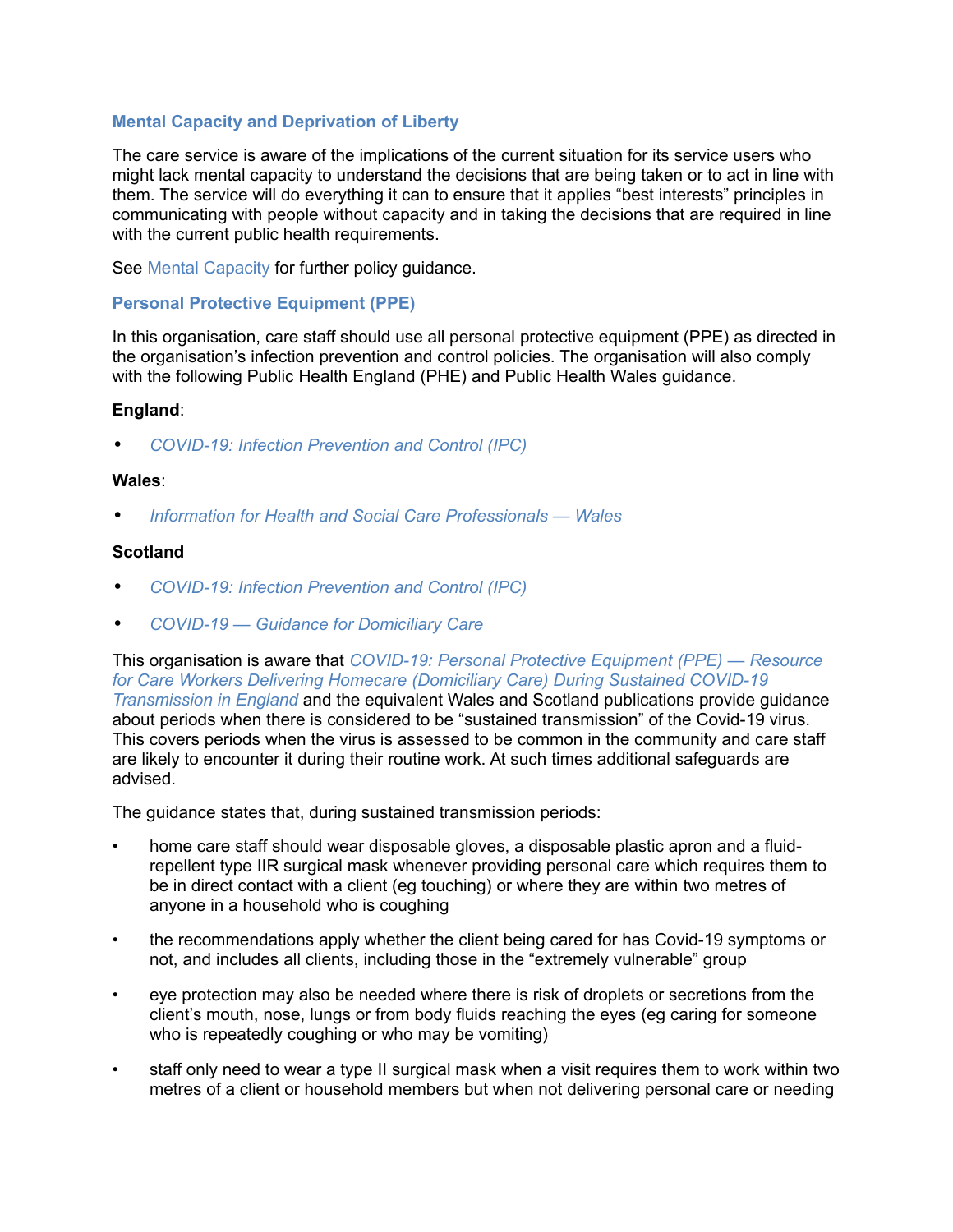## **Mental Capacity and Deprivation of Liberty**

The care service is aware of the implications of the current situation for its service users who might lack mental capacity to understand the decisions that are being taken or to act in line with them. The service will do everything it can to ensure that it applies "best interests" principles in communicating with people without capacity and in taking the decisions that are required in line with the current public health requirements.

See [Mental Capacity](https://app.croneri.co.uk/topics/mental-capacity/indepth#WKID-201310251410010637-65457772) for further policy guidance.

#### **Personal Protective Equipment (PPE)**

In this organisation, care staff should use all personal protective equipment (PPE) as directed in the organisation's infection prevention and control policies. The organisation will also comply with the following Public Health England (PHE) and Public Health Wales guidance.

#### **England**:

• *[COVID-19: Infection Prevention and Control \(IPC\)](https://www.gov.uk/government/publications/wuhan-novel-coronavirus-infection-prevention-and-control/covid-19-personal-protective-equipment-ppe)*

#### **Wales**:

• *[Information for Health and Social Care Professionals — Wales](https://phw.nhs.wales/topics/latest-information-on-novel-coronavirus-covid-19/information-for-healthcare-workers-in-wales/)*

## **Scotland**

- *[COVID-19: Infection Prevention and Control \(IPC\)](https://www.gov.uk/government/publications/wuhan-novel-coronavirus-infection-prevention-and-control)*
- *[COVID-19 Guidance for Domiciliary Care](https://www.hps.scot.nhs.uk/web-resources-container/covid-19-guidance-for-domiciliary-care/)*

This organisation is aware that *[COVID-19: Personal Protective Equipment \(PPE\) — Resource](https://assets.publishing.service.gov.uk/government/uploads/system/uploads/attachment_data/file/922283/Domiciliary_guidance_v5_25_Sept.pdf)  [for Care Workers Delivering Homecare \(Domiciliary Care\) During Sustained COVID-19](https://assets.publishing.service.gov.uk/government/uploads/system/uploads/attachment_data/file/922283/Domiciliary_guidance_v5_25_Sept.pdf)  [Transmission in England](https://assets.publishing.service.gov.uk/government/uploads/system/uploads/attachment_data/file/922283/Domiciliary_guidance_v5_25_Sept.pdf)* and the equivalent Wales and Scotland publications provide guidance about periods when there is considered to be "sustained transmission" of the Covid-19 virus. This covers periods when the virus is assessed to be common in the community and care staff are likely to encounter it during their routine work. At such times additional safeguards are advised.

The guidance states that, during sustained transmission periods:

- home care staff should wear disposable gloves, a disposable plastic apron and a fluidrepellent type IIR surgical mask whenever providing personal care which requires them to be in direct contact with a client (eg touching) or where they are within two metres of anyone in a household who is coughing
- the recommendations apply whether the client being cared for has Covid-19 symptoms or not, and includes all clients, including those in the "extremely vulnerable" group
- eye protection may also be needed where there is risk of droplets or secretions from the client's mouth, nose, lungs or from body fluids reaching the eyes (eg caring for someone who is repeatedly coughing or who may be vomiting)
- staff only need to wear a type II surgical mask when a visit requires them to work within two metres of a client or household members but when not delivering personal care or needing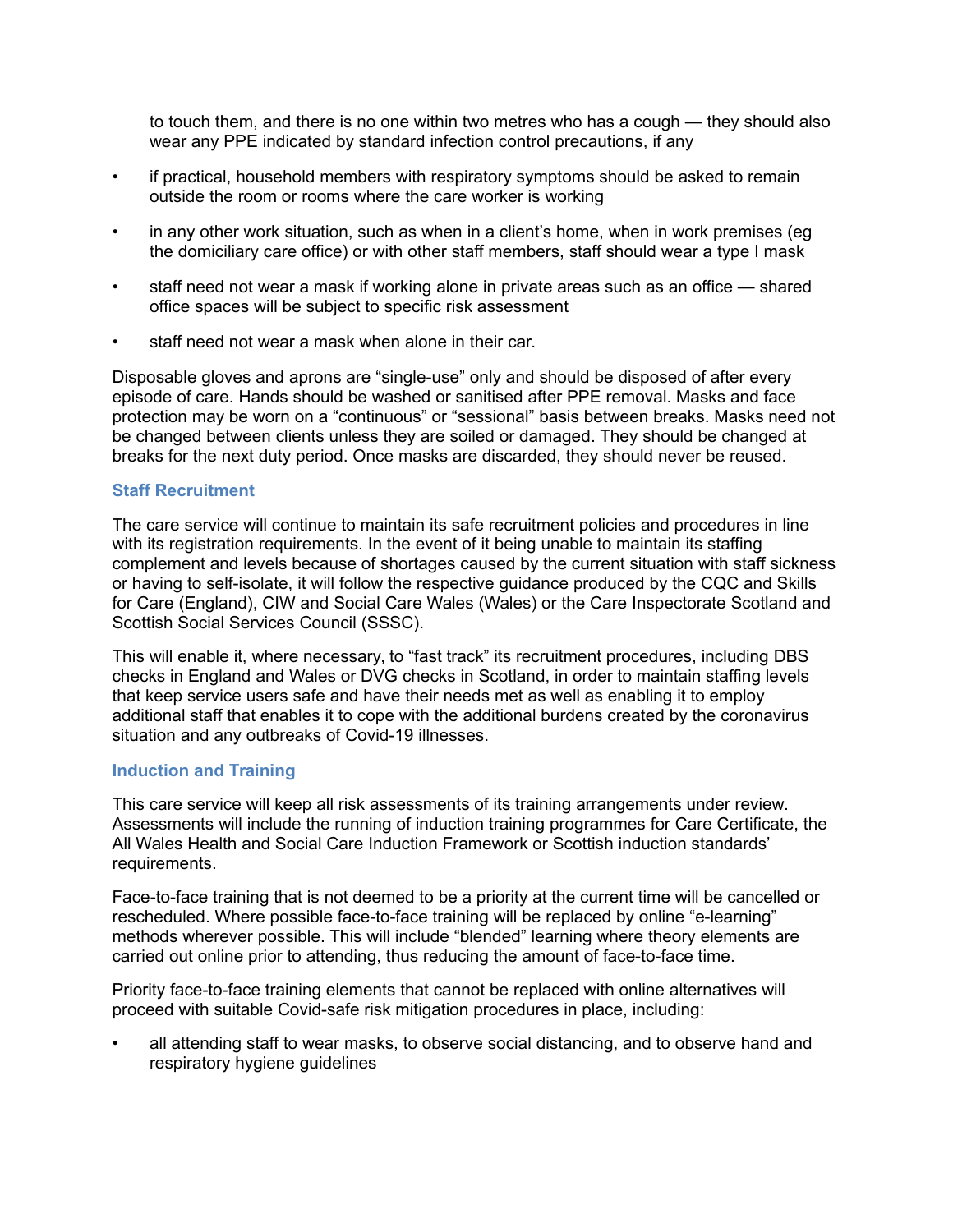to touch them, and there is no one within two metres who has a cough — they should also wear any PPE indicated by standard infection control precautions, if any

- if practical, household members with respiratory symptoms should be asked to remain outside the room or rooms where the care worker is working
- in any other work situation, such as when in a client's home, when in work premises (eg the domiciliary care office) or with other staff members, staff should wear a type I mask
- staff need not wear a mask if working alone in private areas such as an office shared office spaces will be subject to specific risk assessment
- staff need not wear a mask when alone in their car.

Disposable gloves and aprons are "single-use" only and should be disposed of after every episode of care. Hands should be washed or sanitised after PPE removal. Masks and face protection may be worn on a "continuous" or "sessional" basis between breaks. Masks need not be changed between clients unless they are soiled or damaged. They should be changed at breaks for the next duty period. Once masks are discarded, they should never be reused.

#### **Staff Recruitment**

The care service will continue to maintain its safe recruitment policies and procedures in line with its registration requirements. In the event of it being unable to maintain its staffing complement and levels because of shortages caused by the current situation with staff sickness or having to self-isolate, it will follow the respective guidance produced by the CQC and Skills for Care (England), CIW and Social Care Wales (Wales) or the Care Inspectorate Scotland and Scottish Social Services Council (SSSC).

This will enable it, where necessary, to "fast track" its recruitment procedures, including DBS checks in England and Wales or DVG checks in Scotland, in order to maintain staffing levels that keep service users safe and have their needs met as well as enabling it to employ additional staff that enables it to cope with the additional burdens created by the coronavirus situation and any outbreaks of Covid-19 illnesses.

#### **Induction and Training**

This care service will keep all risk assessments of its training arrangements under review. Assessments will include the running of induction training programmes for Care Certificate, the All Wales Health and Social Care Induction Framework or Scottish induction standards' requirements.

Face-to-face training that is not deemed to be a priority at the current time will be cancelled or rescheduled. Where possible face-to-face training will be replaced by online "e-learning" methods wherever possible. This will include "blended" learning where theory elements are carried out online prior to attending, thus reducing the amount of face-to-face time.

Priority face-to-face training elements that cannot be replaced with online alternatives will proceed with suitable Covid-safe risk mitigation procedures in place, including:

• all attending staff to wear masks, to observe social distancing, and to observe hand and respiratory hygiene guidelines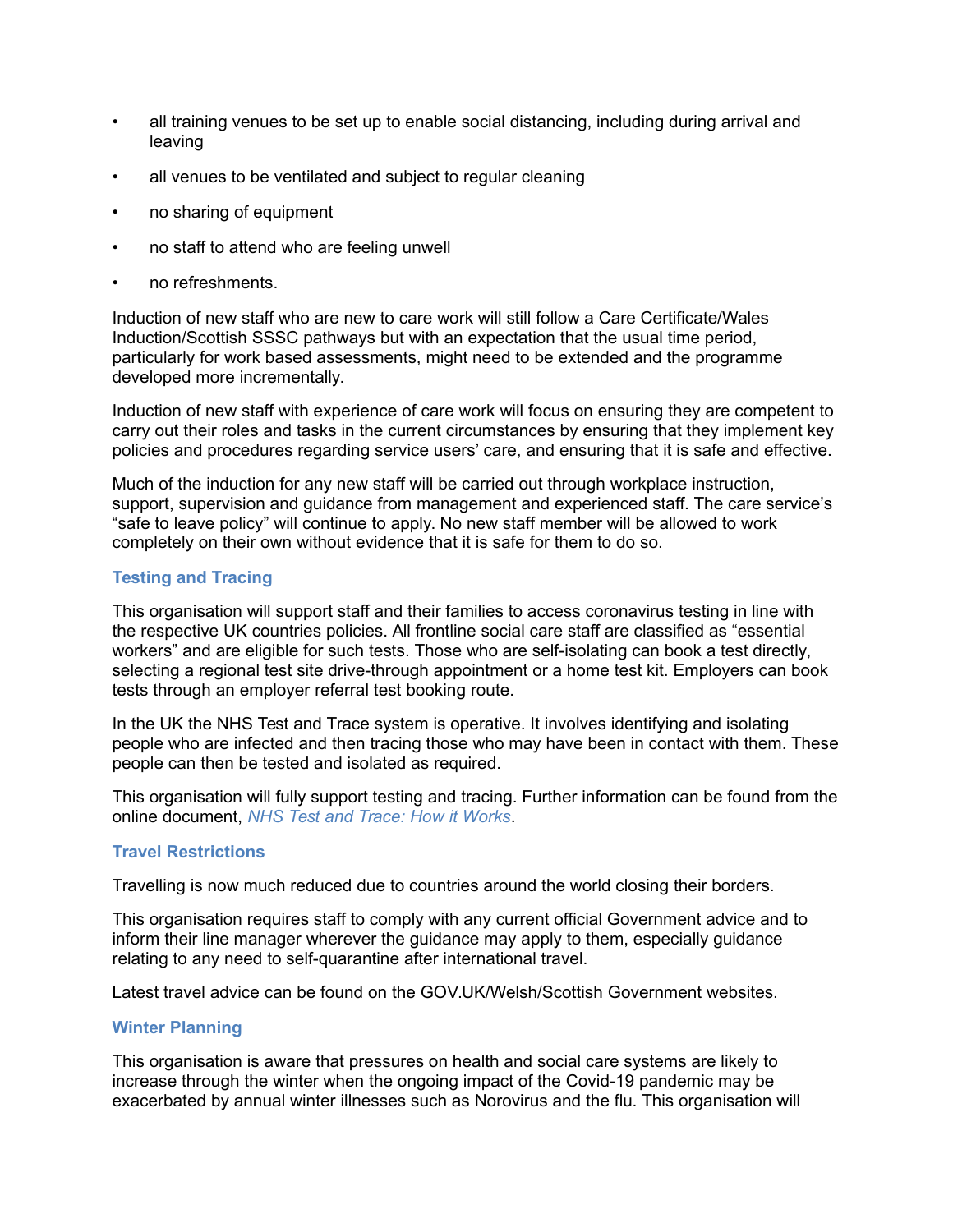- all training venues to be set up to enable social distancing, including during arrival and leaving
- all venues to be ventilated and subject to regular cleaning
- no sharing of equipment
- no staff to attend who are feeling unwell
- no refreshments.

Induction of new staff who are new to care work will still follow a Care Certificate/Wales Induction/Scottish SSSC pathways but with an expectation that the usual time period, particularly for work based assessments, might need to be extended and the programme developed more incrementally.

Induction of new staff with experience of care work will focus on ensuring they are competent to carry out their roles and tasks in the current circumstances by ensuring that they implement key policies and procedures regarding service users' care, and ensuring that it is safe and effective.

Much of the induction for any new staff will be carried out through workplace instruction, support, supervision and guidance from management and experienced staff. The care service's "safe to leave policy" will continue to apply. No new staff member will be allowed to work completely on their own without evidence that it is safe for them to do so.

## **Testing and Tracing**

This organisation will support staff and their families to access coronavirus testing in line with the respective UK countries policies. All frontline social care staff are classified as "essential workers" and are eligible for such tests. Those who are self-isolating can book a test directly, selecting a regional test site drive-through appointment or a home test kit. Employers can book tests through an employer referral test booking route.

In the UK the NHS Test and Trace system is operative. It involves identifying and isolating people who are infected and then tracing those who may have been in contact with them. These people can then be tested and isolated as required.

This organisation will fully support testing and tracing. Further information can be found from the online document, *[NHS Test and Trace: How it Works](https://www.gov.uk/guidance/nhs-test-and-trace-how-it-works)*.

## **Travel Restrictions**

Travelling is now much reduced due to countries around the world closing their borders.

This organisation requires staff to comply with any current official Government advice and to inform their line manager wherever the guidance may apply to them, especially guidance relating to any need to self-quarantine after international travel.

Latest travel advice can be found on the GOV.UK/Welsh/Scottish Government websites.

#### **Winter Planning**

This organisation is aware that pressures on health and social care systems are likely to increase through the winter when the ongoing impact of the Covid-19 pandemic may be exacerbated by annual winter illnesses such as Norovirus and the flu. This organisation will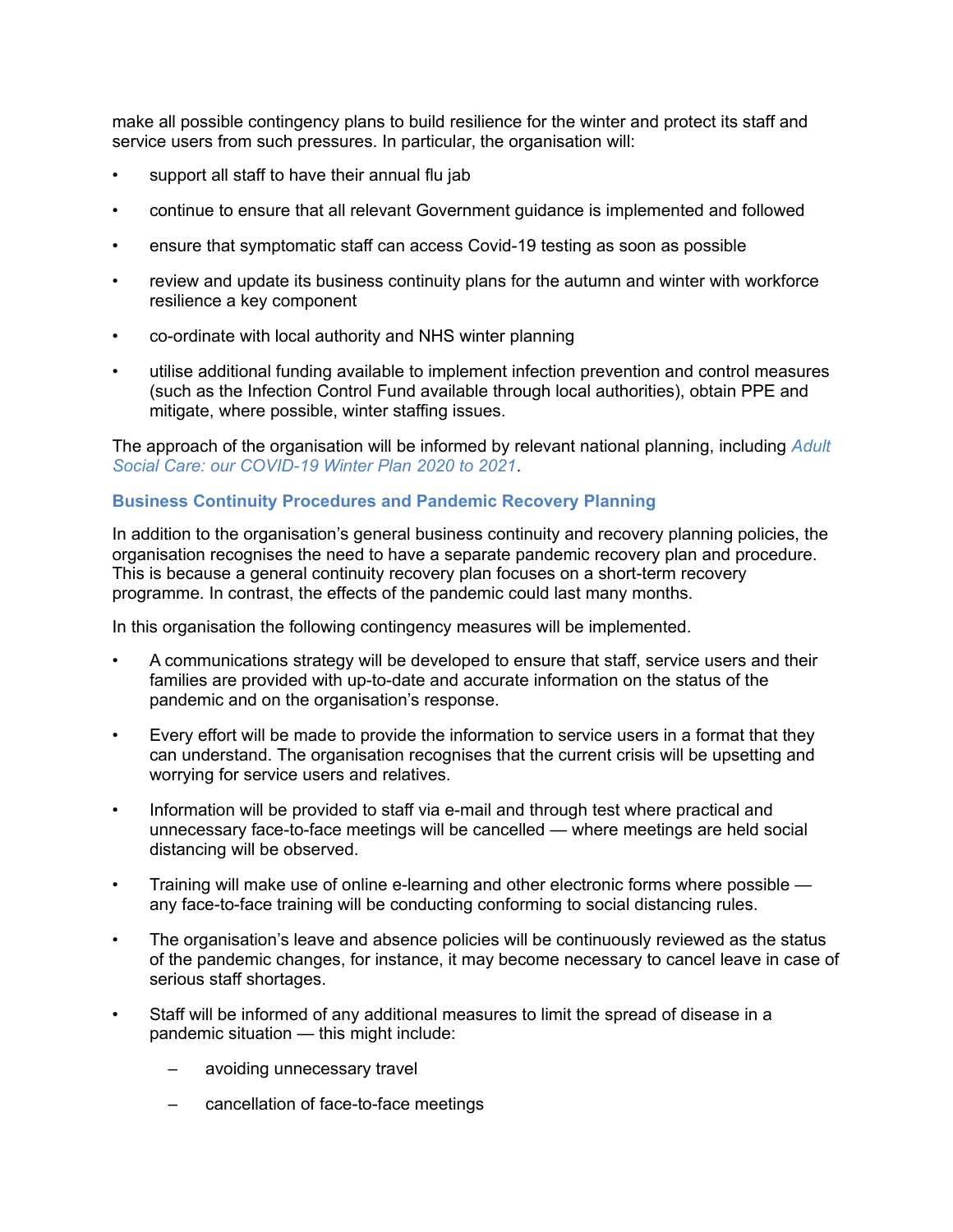make all possible contingency plans to build resilience for the winter and protect its staff and service users from such pressures. In particular, the organisation will:

- support all staff to have their annual flu jab
- continue to ensure that all relevant Government guidance is implemented and followed
- ensure that symptomatic staff can access Covid-19 testing as soon as possible
- review and update its business continuity plans for the autumn and winter with workforce resilience a key component
- co-ordinate with local authority and NHS winter planning
- utilise additional funding available to implement infection prevention and control measures (such as the Infection Control Fund available through local authorities), obtain PPE and mitigate, where possible, winter staffing issues.

The approach of the organisation will be informed by relevant national planning, including *[Adult](https://www.gov.uk/government/publications/adult-social-care-coronavirus-covid-19-winter-plan-2020-to-2021)  [Social Care: our COVID-19 Winter Plan 2020 to 2021](https://www.gov.uk/government/publications/adult-social-care-coronavirus-covid-19-winter-plan-2020-to-2021)*.

## **Business Continuity Procedures and Pandemic Recovery Planning**

In addition to the organisation's general business continuity and recovery planning policies, the organisation recognises the need to have a separate pandemic recovery plan and procedure. This is because a general continuity recovery plan focuses on a short-term recovery programme. In contrast, the effects of the pandemic could last many months.

In this organisation the following contingency measures will be implemented.

- A communications strategy will be developed to ensure that staff, service users and their families are provided with up-to-date and accurate information on the status of the pandemic and on the organisation's response.
- Every effort will be made to provide the information to service users in a format that they can understand. The organisation recognises that the current crisis will be upsetting and worrying for service users and relatives.
- Information will be provided to staff via e-mail and through test where practical and unnecessary face-to-face meetings will be cancelled — where meetings are held social distancing will be observed.
- Training will make use of online e-learning and other electronic forms where possible any face-to-face training will be conducting conforming to social distancing rules.
- The organisation's leave and absence policies will be continuously reviewed as the status of the pandemic changes, for instance, it may become necessary to cancel leave in case of serious staff shortages.
- Staff will be informed of any additional measures to limit the spread of disease in a pandemic situation — this might include:
	- avoiding unnecessary travel
	- cancellation of face-to-face meetings